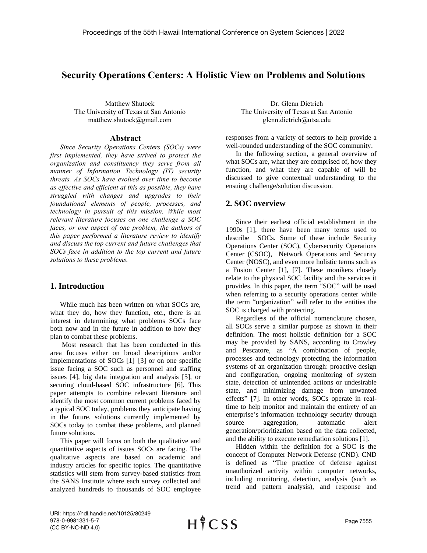# **Security Operations Centers: A Holistic View on Problems and Solutions**

Matthew Shutock The University of Texas at San Antonio matthew.shutock@gmail.com

#### **Abstract**

*Since Security Operations Centers (SOCs) were first implemented, they have strived to protect the organization and constituency they serve from all manner of Information Technology (IT) security threats. As SOCs have evolved over time to become as effective and efficient at this as possible, they have struggled with changes and upgrades to their foundational elements of people, processes, and technology in pursuit of this mission. While most relevant literature focuses on one challenge a SOC faces, or one aspect of one problem, the authors of this paper performed a literature review to identify and discuss the top current and future challenges that SOCs face in addition to the top current and future solutions to these problems.*

## **1. Introduction**

While much has been written on what SOCs are, what they do, how they function, etc., there is an interest in determining what problems SOCs face both now and in the future in addition to how they plan to combat these problems.

Most research that has been conducted in this area focuses either on broad descriptions and/or implementations of SOCs [1]–[3] or on one specific issue facing a SOC such as personnel and staffing issues [4], big data integration and analysis [5], or securing cloud-based SOC infrastructure [6]. This paper attempts to combine relevant literature and identify the most common current problems faced by a typical SOC today, problems they anticipate having in the future, solutions currently implemented by SOCs today to combat these problems, and planned future solutions.

This paper will focus on both the qualitative and quantitative aspects of issues SOCs are facing. The qualitative aspects are based on academic and industry articles for specific topics. The quantitative statistics will stem from survey-based statistics from the SANS Institute where each survey collected and analyzed hundreds to thousands of SOC employee

Dr. Glenn Dietrich The University of Texas at San Antonio glenn.dietrich@utsa.edu

responses from a variety of sectors to help provide a well-rounded understanding of the SOC community.

In the following section, a general overview of what SOCs are, what they are comprised of, how they function, and what they are capable of will be discussed to give contextual understanding to the ensuing challenge/solution discussion.

## **2. SOC overview**

Since their earliest official establishment in the 1990s [1], there have been many terms used to describe SOCs. Some of these include Security Operations Center (SOC), Cybersecurity Operations Center (CSOC), Network Operations and Security Center (NOSC), and even more holistic terms such as a Fusion Center [1], [7]. These monikers closely relate to the physical SOC facility and the services it provides. In this paper, the term "SOC" will be used when referring to a security operations center while the term "organization" will refer to the entities the SOC is charged with protecting.

Regardless of the official nomenclature chosen, all SOCs serve a similar purpose as shown in their definition. The most holistic definition for a SOC may be provided by SANS, according to Crowley and Pescatore, as "A combination of people, processes and technology protecting the information systems of an organization through: proactive design and configuration, ongoing monitoring of system state, detection of unintended actions or undesirable state, and minimizing damage from unwanted effects" [7]. In other words, SOCs operate in realtime to help monitor and maintain the entirety of an enterprise's information technology security through source aggregation, automatic alert generation/prioritization based on the data collected, and the ability to execute remediation solutions [1].

Hidden within the definition for a SOC is the concept of Computer Network Defense (CND). CND is defined as "The practice of defense against unauthorized activity within computer networks, including monitoring, detection, analysis (such as trend and pattern analysis), and response and

URI: https://hdl.handle.net/10125/80249 978-0-9981331-5-7 (CC BY-NC-ND 4.0)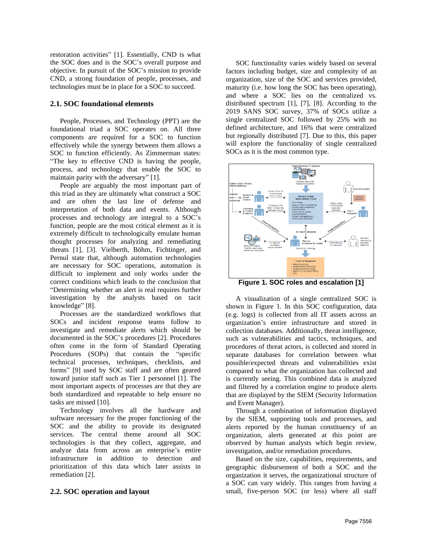restoration activities" [1]. Essentially, CND is what the SOC does and is the SOC's overall purpose and objective. In pursuit of the SOC's mission to provide CND, a strong foundation of people, processes, and technologies must be in place for a SOC to succeed.

### **2.1. SOC foundational elements**

People, Processes, and Technology (PPT) are the foundational triad a SOC operates on. All three components are required for a SOC to function effectively while the synergy between them allows a SOC to function efficiently. As Zimmerman states: "The key to effective CND is having the people, process, and technology that enable the SOC to maintain parity with the adversary" [1].

People are arguably the most important part of this triad as they are ultimately what construct a SOC and are often the last line of defense and interpretation of both data and events. Although processes and technology are integral to a SOC's function, people are the most critical element as it is extremely difficult to technologically emulate human thought processes for analyzing and remediating threats [1], [3]. Vielberth, Böhm, Fichtinger, and Pernul state that, although automation technologies are necessary for SOC operations, automation is difficult to implement and only works under the correct conditions which leads to the conclusion that "Determining whether an alert is real requires further investigation by the analysts based on tacit knowledge" [8].

Processes are the standardized workflows that SOCs and incident response teams follow to investigate and remediate alerts which should be documented in the SOC's procedures [2]. Procedures often come in the form of Standard Operating Procedures (SOPs) that contain the "specific technical processes, techniques, checklists, and forms" [9] used by SOC staff and are often geared toward junior staff such as Tier 1 personnel [1]. The most important aspects of processes are that they are both standardized and repeatable to help ensure no tasks are missed [10].

Technology involves all the hardware and software necessary for the proper functioning of the SOC and the ability to provide its designated services. The central theme around all SOC technologies is that they collect, aggregate, and analyze data from across an enterprise's entire infrastructure in addition to detection and prioritization of this data which later assists in remediation [2].

#### **2.2. SOC operation and layout**

SOC functionality varies widely based on several factors including budget, size and complexity of an organization, size of the SOC and services provided, maturity (i.e. how long the SOC has been operating), and where a SOC lies on the centralized vs. distributed spectrum [1], [7], [8]. According to the 2019 SANS SOC survey, 37% of SOCs utilize a single centralized SOC followed by 25% with no defined architecture, and 16% that were centralized but regionally distributed [7]. Due to this, this paper will explore the functionality of single centralized SOCs as it is the most common type.



**Figure 1. SOC roles and escalation [1]**

A visualization of a single centralized SOC is shown in Figure 1. In this SOC configuration, data (e.g. logs) is collected from all IT assets across an organization's entire infrastructure and stored in collection databases. Additionally, threat intelligence, such as vulnerabilities and tactics, techniques, and procedures of threat actors, is collected and stored in separate databases for correlation between what possible/expected threats and vulnerabilities exist compared to what the organization has collected and is currently seeing. This combined data is analyzed and filtered by a correlation engine to produce alerts that are displayed by the SIEM (Security Information and Event Manager).

Through a combination of information displayed by the SIEM, supporting tools and processes, and alerts reported by the human constituency of an organization, alerts generated at this point are observed by human analysts which begin review, investigation, and/or remediation procedures.

Based on the size, capabilities, requirements, and geographic disbursement of both a SOC and the organization it serves, the organizational structure of a SOC can vary widely. This ranges from having a small, five-person SOC (or less) where all staff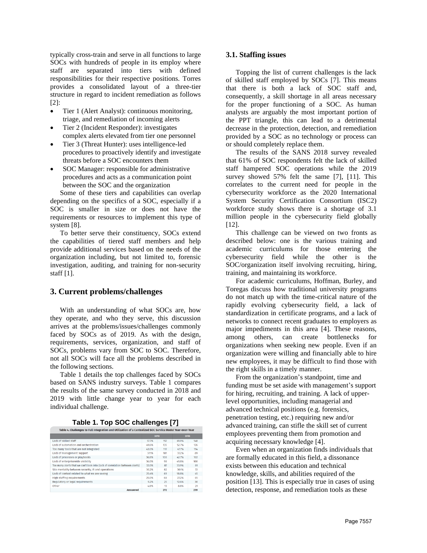typically cross-train and serve in all functions to large SOCs with hundreds of people in its employ where staff are separated into tiers with defined responsibilities for their respective positions. Torres provides a consolidated layout of a three-tier structure in regard to incident remediation as follows [2]:

- Tier 1 (Alert Analyst): continuous monitoring, triage, and remediation of incoming alerts
- Tier 2 (Incident Responder): investigates complex alerts elevated from tier one personnel
- Tier 3 (Threat Hunter): uses intelligence-led procedures to proactively identify and investigate threats before a SOC encounters them
- SOC Manager: responsible for administrative procedures and acts as a communication point between the SOC and the organization

Some of these tiers and capabilities can overlap depending on the specifics of a SOC, especially if a SOC is smaller in size or does not have the requirements or resources to implement this type of system [8].

To better serve their constituency, SOCs extend the capabilities of tiered staff members and help provide additional services based on the needs of the organization including, but not limited to, forensic investigation, auditing, and training for non-security staff [1].

### **3. Current problems/challenges**

With an understanding of what SOCs are, how they operate, and who they serve, this discussion arrives at the problems/issues/challenges commonly faced by SOCs as of 2019. As with the design, requirements, services, organization, and staff of SOCs, problems vary from SOC to SOC. Therefore, not all SOCs will face all the problems described in the following sections.

Table 1 details the top challenges faced by SOCs based on SANS industry surveys. Table 1 compares the results of the same survey conducted in 2018 and 2019 with little change year to year for each individual challenge.

Table 4. Challenges to Full Integration and Utilization of a Centralized SOC Service Model Year-over-Year

|                                                                              | 2019  |     | 2018  |     |
|------------------------------------------------------------------------------|-------|-----|-------|-----|
| Lack of skilled staff                                                        | 57.7% | 157 | 61.9% | 148 |
| Lack of automation and orchestration.                                        | 49.6% | 135 | 52.7% | 126 |
| Too many tools that are not integrated                                       | 43.0% | 117 | 47.7% | 114 |
| Lack of management support                                                   | 37.1% | 101 | 37.2% | 89  |
| Lack of processes or playbooks                                               | 36.8% | 100 | 42.7% | 102 |
| Lack of enterprisewide visibility                                            | 36.0% | 98  | 41.8% | 100 |
| Too many alerts that we can't look into (lack of correlation between alerts) | 32.0% | 87  | 33.9% | 81  |
| Silo mentality between security. IR and operations                           | 30.2% | 82  | 30.1% | 72  |
| Lack of context related to what we are seeing                                | 25.4% | 69  | 18.8% | 45  |
| High staffing requirements                                                   | 25.0% | 68  | 27.2% | 65  |
| Regulatory or legal requirements                                             | 9.2%  | 25  | 12.6% | 30  |
| Other                                                                        | 4.8%  | 13  | 8.8%  | 21  |
| Answered                                                                     |       | 272 |       | 239 |

#### **3.1. Staffing issues**

Topping the list of current challenges is the lack of skilled staff employed by SOCs [7]. This means that there is both a lack of SOC staff and, consequently, a skill shortage in all areas necessary for the proper functioning of a SOC. As human analysts are arguably the most important portion of the PPT triangle, this can lead to a detrimental decrease in the protection, detection, and remediation provided by a SOC as no technology or process can or should completely replace them.

The results of the SANS 2018 survey revealed that 61% of SOC respondents felt the lack of skilled staff hampered SOC operations while the 2019 survey showed 57% felt the same [7], [11]. This correlates to the current need for people in the cybersecurity workforce as the 2020 International System Security Certification Consortium (ISC2) workforce study shows there is a shortage of 3.1 million people in the cybersecurity field globally [12].

This challenge can be viewed on two fronts as described below: one is the various training and academic curriculums for those entering the cybersecurity field while the other is the SOC/organization itself involving recruiting, hiring, training, and maintaining its workforce.

For academic curriculums, Hoffman, Burley, and Toregas discuss how traditional university programs do not match up with the time-critical nature of the rapidly evolving cybersecurity field, a lack of standardization in certificate programs, and a lack of networks to connect recent graduates to employers as major impediments in this area [4]. These reasons, among others, can create bottlenecks for organizations when seeking new people. Even if an organization were willing and financially able to hire new employees, it may be difficult to find those with the right skills in a timely manner.

From the organization's standpoint, time and funding must be set aside with management's support for hiring, recruiting, and training. A lack of upperlevel opportunities, including managerial and advanced technical positions (e.g. forensics, penetration testing, etc.) requiring new and/or advanced training, can stifle the skill set of current employees preventing them from promotion and acquiring necessary knowledge [4].

Even when an organization finds individuals that are formally educated in this field, a dissonance exists between this education and technical knowledge, skills, and abilities required of the position [13]. This is especially true in cases of using detection, response, and remediation tools as these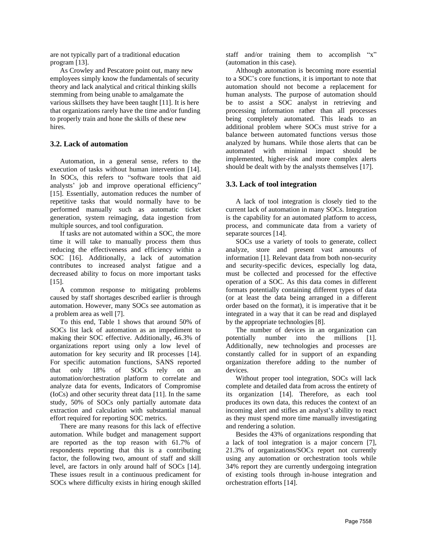are not typically part of a traditional education program [13].

As Crowley and Pescatore point out, many new employees simply know the fundamentals of security theory and lack analytical and critical thinking skills stemming from being unable to amalgamate the various skillsets they have been taught [11]. It is here that organizations rarely have the time and/or funding to properly train and hone the skills of these new hires.

#### **3.2. Lack of automation**

Automation, in a general sense, refers to the execution of tasks without human intervention [14]. In SOCs, this refers to "software tools that aid analysts' job and improve operational efficiency" [15]. Essentially, automation reduces the number of repetitive tasks that would normally have to be performed manually such as automatic ticket generation, system reimaging, data ingestion from multiple sources, and tool configuration.

If tasks are not automated within a SOC, the more time it will take to manually process them thus reducing the effectiveness and efficiency within a SOC [16]. Additionally, a lack of automation contributes to increased analyst fatigue and a decreased ability to focus on more important tasks [15].

A common response to mitigating problems caused by staff shortages described earlier is through automation. However, many SOCs see automation as a problem area as well [7].

To this end, Table 1 shows that around 50% of SOCs list lack of automation as an impediment to making their SOC effective. Additionally, 46.3% of organizations report using only a low level of automation for key security and IR processes [14]. For specific automation functions, SANS reported that only 18% of SOCs rely on an automation/orchestration platform to correlate and analyze data for events, Indicators of Compromise (IoCs) and other security threat data [11]. In the same study, 50% of SOCs only partially automate data extraction and calculation with substantial manual effort required for reporting SOC metrics.

There are many reasons for this lack of effective automation. While budget and management support are reported as the top reason with 61.7% of respondents reporting that this is a contributing factor, the following two, amount of staff and skill level, are factors in only around half of SOCs [14]. These issues result in a continuous predicament for SOCs where difficulty exists in hiring enough skilled

staff and/or training them to accomplish "x" (automation in this case).

Although automation is becoming more essential to a SOC's core functions, it is important to note that automation should not become a replacement for human analysts. The purpose of automation should be to assist a SOC analyst in retrieving and processing information rather than all processes being completely automated. This leads to an additional problem where SOCs must strive for a balance between automated functions versus those analyzed by humans. While those alerts that can be automated with minimal impact should be implemented, higher-risk and more complex alerts should be dealt with by the analysts themselves [17].

#### **3.3. Lack of tool integration**

A lack of tool integration is closely tied to the current lack of automation in many SOCs. Integration is the capability for an automated platform to access, process, and communicate data from a variety of separate sources [14].

SOCs use a variety of tools to generate, collect analyze, store and present vast amounts of information [1]. Relevant data from both non-security and security-specific devices, especially log data, must be collected and processed for the effective operation of a SOC. As this data comes in different formats potentially containing different types of data (or at least the data being arranged in a different order based on the format), it is imperative that it be integrated in a way that it can be read and displayed by the appropriate technologies [8].

The number of devices in an organization can potentially number into the millions [1]. Additionally, new technologies and processes are constantly called for in support of an expanding organization therefore adding to the number of devices.

Without proper tool integration, SOCs will lack complete and detailed data from across the entirety of its organization [14]. Therefore, as each tool produces its own data, this reduces the context of an incoming alert and stifles an analyst's ability to react as they must spend more time manually investigating and rendering a solution.

Besides the 43% of organizations responding that a lack of tool integration is a major concern [7], 21.3% of organizations/SOCs report not currently using any automation or orchestration tools while 34% report they are currently undergoing integration of existing tools through in-house integration and orchestration efforts [14].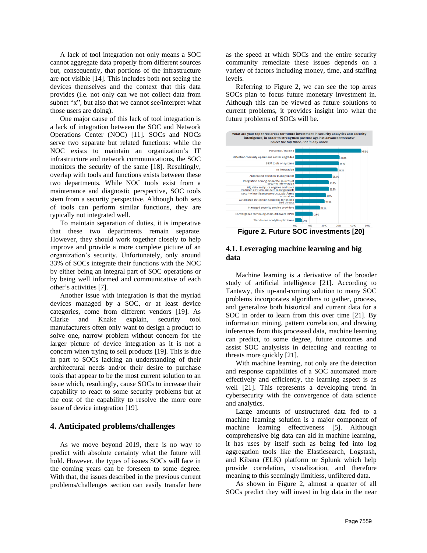A lack of tool integration not only means a SOC cannot aggregate data properly from different sources but, consequently, that portions of the infrastructure are not visible [14]. This includes both not seeing the devices themselves and the context that this data provides (i.e. not only can we not collect data from subnet "x", but also that we cannot see/interpret what those users are doing).

One major cause of this lack of tool integration is a lack of integration between the SOC and Network Operations Center (NOC) [11]. SOCs and NOCs serve two separate but related functions: while the NOC exists to maintain an organization's IT infrastructure and network communications, the SOC monitors the security of the same [18]. Resultingly, overlap with tools and functions exists between these two departments. While NOC tools exist from a maintenance and diagnostic perspective, SOC tools stem from a security perspective. Although both sets of tools can perform similar functions, they are typically not integrated well.

To maintain separation of duties, it is imperative that these two departments remain separate. However, they should work together closely to help improve and provide a more complete picture of an organization's security. Unfortunately, only around 33% of SOCs integrate their functions with the NOC by either being an integral part of SOC operations or by being well informed and communicative of each other's activities [7].

Another issue with integration is that the myriad devices managed by a SOC, or at least device categories, come from different vendors [19]. As Clarke and Knake explain, security tool manufacturers often only want to design a product to solve one, narrow problem without concern for the larger picture of device integration as it is not a concern when trying to sell products [19]. This is due in part to SOCs lacking an understanding of their architectural needs and/or their desire to purchase tools that appear to be the most current solution to an issue which, resultingly, cause SOCs to increase their capability to react to some security problems but at the cost of the capability to resolve the more core issue of device integration [19].

#### **4. Anticipated problems/challenges**

As we move beyond 2019, there is no way to predict with absolute certainty what the future will hold. However, the types of issues SOCs will face in the coming years can be foreseen to some degree. With that, the issues described in the previous current problems/challenges section can easily transfer here as the speed at which SOCs and the entire security community remediate these issues depends on a variety of factors including money, time, and staffing levels.

Referring to Figure 2, we can see the top areas SOCs plan to focus future monetary investment in. Although this can be viewed as future solutions to current problems, it provides insight into what the future problems of SOCs will be.



**Figure 2. Future SOC investments [20]**

### **4.1. Leveraging machine learning and big data**

Machine learning is a derivative of the broader study of artificial intelligence [21]. According to Tantawy, this up-and-coming solution to many SOC problems incorporates algorithms to gather, process, and generalize both historical and current data for a SOC in order to learn from this over time [21]. By information mining, pattern correlation, and drawing inferences from this processed data, machine learning can predict, to some degree, future outcomes and assist SOC analysists in detecting and reacting to threats more quickly [21].

With machine learning, not only are the detection and response capabilities of a SOC automated more effectively and efficiently, the learning aspect is as well [21]. This represents a developing trend in cybersecurity with the convergence of data science and analytics.

Large amounts of unstructured data fed to a machine learning solution is a major component of machine learning effectiveness [5]. Although comprehensive big data can aid in machine learning, it has uses by itself such as being fed into log aggregation tools like the Elasticsearch, Logstash, and Kibana (ELK) platform or Splunk which help provide correlation, visualization, and therefore meaning to this seemingly limitless, unfiltered data.

As shown in Figure 2, almost a quarter of all SOCs predict they will invest in big data in the near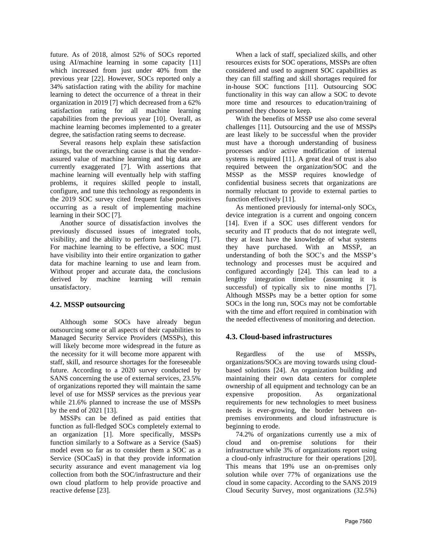future. As of 2018, almost 52% of SOCs reported using AI/machine learning in some capacity [11] which increased from just under 40% from the previous year [22]. However, SOCs reported only a 34% satisfaction rating with the ability for machine learning to detect the occurrence of a threat in their organization in 2019 [7] which decreased from a 62% satisfaction rating for all machine learning capabilities from the previous year [10]. Overall, as machine learning becomes implemented to a greater degree, the satisfaction rating seems to decrease.

Several reasons help explain these satisfaction ratings, but the overarching cause is that the vendorassured value of machine learning and big data are currently exaggerated [7]. With assertions that machine learning will eventually help with staffing problems, it requires skilled people to install, configure, and tune this technology as respondents in the 2019 SOC survey cited frequent false positives occurring as a result of implementing machine learning in their SOC [7].

Another source of dissatisfaction involves the previously discussed issues of integrated tools, visibility, and the ability to perform baselining [7]. For machine learning to be effective, a SOC must have visibility into their entire organization to gather data for machine learning to use and learn from. Without proper and accurate data, the conclusions derived by machine learning will remain unsatisfactory.

#### **4.2. MSSP outsourcing**

Although some SOCs have already begun outsourcing some or all aspects of their capabilities to Managed Security Service Providers (MSSPs), this will likely become more widespread in the future as the necessity for it will become more apparent with staff, skill, and resource shortages for the foreseeable future. According to a 2020 survey conducted by SANS concerning the use of external services, 23.5% of organizations reported they will maintain the same level of use for MSSP services as the previous year while 21.6% planned to increase the use of MSSPs by the end of 2021 [13].

MSSPs can be defined as paid entities that function as full-fledged SOCs completely external to an organization [1]. More specifically, MSSPs function similarly to a Software as a Service (SaaS) model even so far as to consider them a SOC as a Service (SOCaaS) in that they provide information security assurance and event management via log collection from both the SOC/infrastructure and their own cloud platform to help provide proactive and reactive defense [23].

When a lack of staff, specialized skills, and other resources exists for SOC operations, MSSPs are often considered and used to augment SOC capabilities as they can fill staffing and skill shortages required for in-house SOC functions [11]. Outsourcing SOC functionality in this way can allow a SOC to devote more time and resources to education/training of personnel they choose to keep.

With the benefits of MSSP use also come several challenges [11]. Outsourcing and the use of MSSPs are least likely to be successful when the provider must have a thorough understanding of business processes and/or active modification of internal systems is required [11]. A great deal of trust is also required between the organization/SOC and the MSSP as the MSSP requires knowledge of confidential business secrets that organizations are normally reluctant to provide to external parties to function effectively [11].

As mentioned previously for internal-only SOCs, device integration is a current and ongoing concern [14]. Even if a SOC uses different vendors for security and IT products that do not integrate well, they at least have the knowledge of what systems they have purchased. With an MSSP, an understanding of both the SOC's and the MSSP's technology and processes must be acquired and configured accordingly [24]. This can lead to a lengthy integration timeline (assuming it is successful) of typically six to nine months [7]. Although MSSPs may be a better option for some SOCs in the long run, SOCs may not be comfortable with the time and effort required in combination with the needed effectiveness of monitoring and detection.

### **4.3. Cloud-based infrastructures**

Regardless of the use of MSSPs, organizations/SOCs are moving towards using cloudbased solutions [24]. An organization building and maintaining their own data centers for complete ownership of all equipment and technology can be an expensive proposition. As organizational requirements for new technologies to meet business needs is ever-growing, the border between onpremises environments and cloud infrastructure is beginning to erode.

74.2% of organizations currently use a mix of cloud and on-premise solutions for their infrastructure while 3% of organizations report using a cloud-only infrastructure for their operations [20]. This means that 19% use an on-premises only solution while over 77% of organizations use the cloud in some capacity. According to the SANS 2019 Cloud Security Survey, most organizations (32.5%)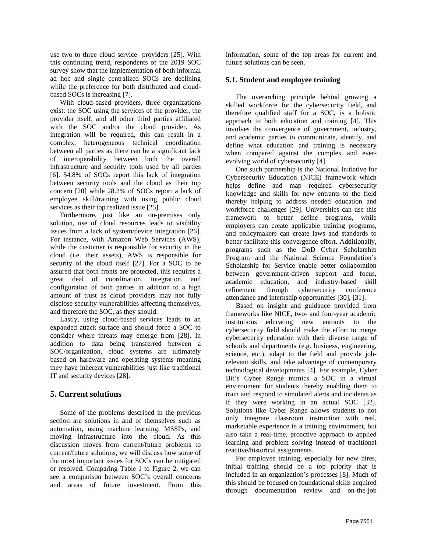use two to three cloud service providers [25]. With this continuing trend, respondents of the 2019 SOC survey show that the implementation of both informal ad hoc and single centralized SOCs are declining while the preference for both distributed and cloudbased SOCs is increasing [7].

With cloud-based providers, three organizations exist: the SOC using the services of the provider, the provider itself, and all other third parties affiliated with the SOC and/or the cloud provider. As integration will be required, this can result in a complex, heterogeneous technical coordination between all parties as there can be a significant lack of interoperability between both the overall infrastructure and security tools used by all parties [6]. 54.8% of SOCs report this lack of integration between security tools and the cloud as their top concern [20] while 28.2% of SOCs report a lack of employee skill/training with using public cloud services as their top realized issue [25].

Furthermore, just like an on-premises only solution, use of cloud resources leads to visibility issues from a lack of system/device integration [26]. For instance, with Amazon Web Services (AWS), while the customer is responsible for security in the cloud (i.e. their assets), AWS is responsible for security of the cloud itself [27]. For a SOC to be assured that both fronts are protected, this requires a great deal of coordination, integration, and configuration of both parties in addition to a high amount of trust as cloud providers may not fully disclose security vulnerabilities affecting themselves, and therefore the SOC, as they should.

Lastly, using cloud-based services leads to an expanded attack surface and should force a SOC to consider where threats may emerge from [28]. In addition to data being transferred between a SOC/organization, cloud systems are ultimately based on hardware and operating systems meaning they have inherent vulnerabilities just like traditional IT and security devices [28].

## **5. Current solutions**

Some of the problems described in the previous section are solutions in and of themselves such as automation, using machine learning, MSSPs, and moving infrastructure into the cloud. As this discussion moves from current/future problems to current/future solutions, we will discuss how some of the most important issues for SOCs can be mitigated or resolved. Comparing Table 1 to Figure 2, we can see a comparison between SOC's overall concerns and areas of future investment. From this information, some of the top areas for current and future solutions can be seen.

### **5.1. Student and employee training**

The overarching principle behind growing a skilled workforce for the cybersecurity field, and therefore qualified staff for a SOC, is a holistic approach to both education and training [4]. This involves the convergence of government, industry, and academic parties to communicate, identify, and define what education and training is necessary when compared against the complex and everevolving world of cybersecurity [4].

One such partnership is the National Initiative for Cybersecurity Education (NICE) framework which helps define and map required cybersecurity knowledge and skills for new entrants to the field thereby helping to address needed education and workforce challenges [29]. Universities can use this framework to better define programs, while employers can create applicable training programs, and policymakers can create laws and standards to better facilitate this convergence effort. Additionally, programs such as the DoD Cyber Scholarship Program and the National Science Foundation's Scholarship for Service enable better collaboration between government-driven support and focus, academic education, and industry-based skill refinement through cybersecurity conference attendance and internship opportunities [30], [31].

Based on insight and guidance provided from frameworks like NICE, two- and four-year academic institutions educating new entrants to the cybersecurity field should make the effort to merge cybersecurity education with their diverse range of schools and departments (e.g. business, engineering, science, etc.), adapt to the field and provide jobrelevant skills, and take advantage of contemporary technological developments [4]. For example, Cyber Bit's Cyber Range mimics a SOC in a virtual environment for students thereby enabling them to train and respond to simulated alerts and incidents as if they were working in an actual SOC [32]. Solutions like Cyber Range allows students to not only integrate classroom instruction with real, marketable experience in a training environment, but also take a real-time, proactive approach to applied learning and problem solving instead of traditional reactive/historical assignments.

For employee training, especially for new hires, initial training should be a top priority that is included in an organization's processes [8]. Much of this should be focused on foundational skills acquired through documentation review and on-the-job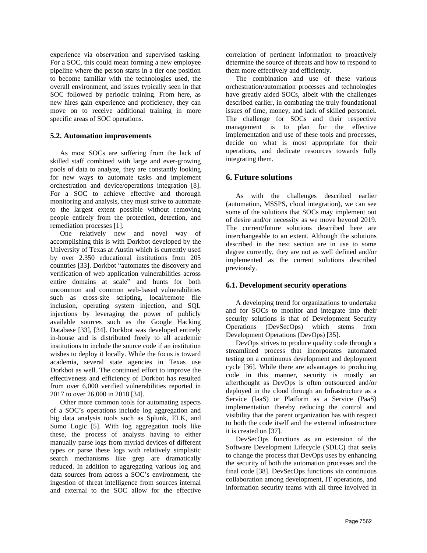experience via observation and supervised tasking. For a SOC, this could mean forming a new employee pipeline where the person starts in a tier one position to become familiar with the technologies used, the overall environment, and issues typically seen in that SOC followed by periodic training. From here, as new hires gain experience and proficiency, they can move on to receive additional training in more specific areas of SOC operations.

### **5.2. Automation improvements**

As most SOCs are suffering from the lack of skilled staff combined with large and ever-growing pools of data to analyze, they are constantly looking for new ways to automate tasks and implement orchestration and device/operations integration [8]. For a SOC to achieve effective and thorough monitoring and analysis, they must strive to automate to the largest extent possible without removing people entirely from the protection, detection, and remediation processes [1].

One relatively new and novel way of accomplishing this is with Dorkbot developed by the University of Texas at Austin which is currently used by over 2.350 educational institutions from 205 countries [33]. Dorkbot "automates the discovery and verification of web application vulnerabilities across entire domains at scale" and hunts for both uncommon and common web-based vulnerabilities such as cross-site scripting, local/remote file inclusion, operating system injection, and SQL injections by leveraging the power of publicly available sources such as the Google Hacking Database [33], [34]. Dorkbot was developed entirely in-house and is distributed freely to all academic institutions to include the source code if an institution wishes to deploy it locally. While the focus is toward academia, several state agencies in Texas use Dorkbot as well. The continued effort to improve the effectiveness and efficiency of Dorkbot has resulted from over 6,000 verified vulnerabilities reported in 2017 to over 26,000 in 2018 [34].

Other more common tools for automating aspects of a SOC's operations include log aggregation and big data analysis tools such as Splunk, ELK, and Sumo Logic [5]. With log aggregation tools like these, the process of analysts having to either manually parse logs from myriad devices of different types or parse these logs with relatively simplistic search mechanisms like grep are dramatically reduced. In addition to aggregating various log and data sources from across a SOC's environment, the ingestion of threat intelligence from sources internal and external to the SOC allow for the effective

correlation of pertinent information to proactively determine the source of threats and how to respond to them more effectively and efficiently.

The combination and use of these various orchestration/automation processes and technologies have greatly aided SOCs, albeit with the challenges described earlier, in combating the truly foundational issues of time, money, and lack of skilled personnel. The challenge for SOCs and their respective management is to plan for the effective implementation and use of these tools and processes, decide on what is most appropriate for their operations, and dedicate resources towards fully integrating them.

### **6. Future solutions**

As with the challenges described earlier (automation, MSSPS, cloud integration), we can see some of the solutions that SOCs may implement out of desire and/or necessity as we move beyond 2019. The current/future solutions described here are interchangeable to an extent. Although the solutions described in the next section are in use to some degree currently, they are not as well defined and/or implemented as the current solutions described previously.

#### **6.1. Development security operations**

A developing trend for organizations to undertake and for SOCs to monitor and integrate into their security solutions is that of Development Security Operations (DevSecOps) which stems from Development Operations (DevOps) [35].

DevOps strives to produce quality code through a streamlined process that incorporates automated testing on a continuous development and deployment cycle [36]. While there are advantages to producing code in this manner, security is mostly an afterthought as DevOps is often outsourced and/or deployed in the cloud through an Infrastructure as a Service (IaaS) or Platform as a Service (PaaS) implementation thereby reducing the control and visibility that the parent organization has with respect to both the code itself and the external infrastructure it is created on [37].

DevSecOps functions as an extension of the Software Development Lifecycle (SDLC) that seeks to change the process that DevOps uses by enhancing the security of both the automation processes and the final code [38]. DevSecOps functions via continuous collaboration among development, IT operations, and information security teams with all three involved in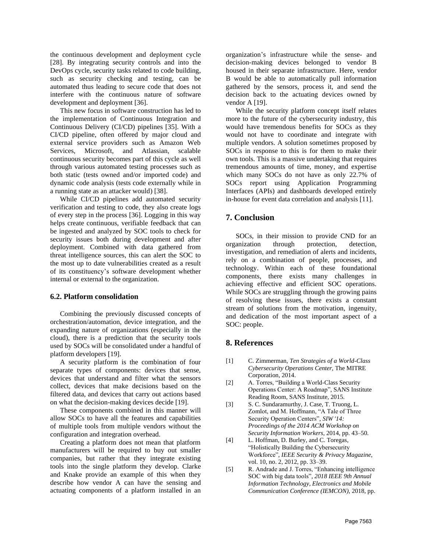the continuous development and deployment cycle [28]. By integrating security controls and into the DevOps cycle, security tasks related to code building, such as security checking and testing, can be automated thus leading to secure code that does not interfere with the continuous nature of software development and deployment [36].

This new focus in software construction has led to the implementation of Continuous Integration and Continuous Delivery (CI/CD) pipelines [35]. With a CI/CD pipeline, often offered by major cloud and external service providers such as Amazon Web Services, Microsoft, and Atlassian, scalable continuous security becomes part of this cycle as well through various automated testing processes such as both static (tests owned and/or imported code) and dynamic code analysis (tests code externally while in a running state as an attacker would) [38].

While CI/CD pipelines add automated security verification and testing to code, they also create logs of every step in the process [36]. Logging in this way helps create continuous, verifiable feedback that can be ingested and analyzed by SOC tools to check for security issues both during development and after deployment. Combined with data gathered from threat intelligence sources, this can alert the SOC to the most up to date vulnerabilities created as a result of its constituency's software development whether internal or external to the organization.

#### **6.2. Platform consolidation**

Combining the previously discussed concepts of orchestration/automation, device integration, and the expanding nature of organizations (especially in the cloud), there is a prediction that the security tools used by SOCs will be consolidated under a handful of platform developers [19].

A security platform is the combination of four separate types of components: devices that sense, devices that understand and filter what the sensors collect, devices that make decisions based on the filtered data, and devices that carry out actions based on what the decision-making devices decide [19].

These components combined in this manner will allow SOCs to have all the features and capabilities of multiple tools from multiple vendors without the configuration and integration overhead.

Creating a platform does not mean that platform manufacturers will be required to buy out smaller companies, but rather that they integrate existing tools into the single platform they develop. Clarke and Knake provide an example of this when they describe how vendor A can have the sensing and actuating components of a platform installed in an organization's infrastructure while the sense- and decision-making devices belonged to vendor B housed in their separate infrastructure. Here, vendor B would be able to automatically pull information gathered by the sensors, process it, and send the decision back to the actuating devices owned by vendor A [19].

While the security platform concept itself relates more to the future of the cybersecurity industry, this would have tremendous benefits for SOCs as they would not have to coordinate and integrate with multiple vendors. A solution sometimes proposed by SOCs in response to this is for them to make their own tools. This is a massive undertaking that requires tremendous amounts of time, money, and expertise which many SOCs do not have as only 22.7% of SOCs report using Application Programming Interfaces (APIs) and dashboards developed entirely in-house for event data correlation and analysis [11].

### **7. Conclusion**

SOCs, in their mission to provide CND for an organization through protection, detection, investigation, and remediation of alerts and incidents, rely on a combination of people, processes, and technology. Within each of these foundational components, there exists many challenges in achieving effective and efficient SOC operations. While SOCs are struggling through the growing pains of resolving these issues, there exists a constant stream of solutions from the motivation, ingenuity, and dedication of the most important aspect of a SOC: people.

#### **8. References**

- [1] C. Zimmerman, *Ten Strategies of a World-Class Cybersecurity Operations Center*, The MITRE Corporation, 2014.
- [2] A. Torres, "Building a World-Class Security Operations Center: A Roadmap", SANS Institute Reading Room, SANS Institute, 2015.
- [3] S. C. Sundaramurthy, J. Case, T. Truong, L. Zomlot, and M. Hoffmann, "A Tale of Three Security Operation Centers", *SIW '14: Proceedings of the 2014 ACM Workshop on Security Information Workers*, 2014, pp. 43–50.
- [4] L. Hoffman, D. Burley, and C. Toregas, "Holistically Building the Cybersecurity Workforce", *IEEE Security & Privacy Magazine*, vol. 10, no. 2, 2012, pp. 33–39.
- [5] R. Andrade and J. Torres, "Enhancing intelligence SOC with big data tools", *2018 IEEE 9th Annual Information Technology, Electronics and Mobile Communication Conference (IEMCON)*, 2018, pp.